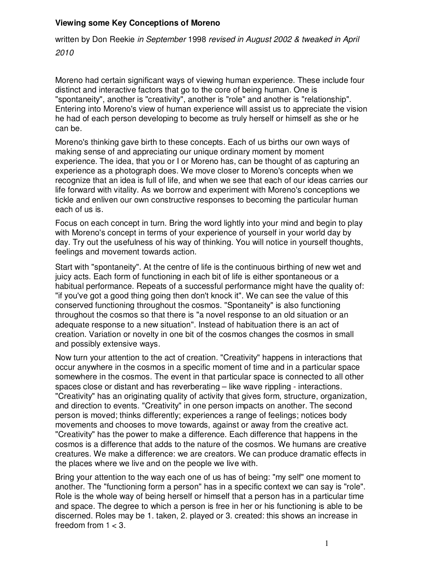## **Viewing some Key Conceptions of Moreno**

written by Don Reekie in September 1998 revised in August 2002 & tweaked in April

2010

Moreno had certain significant ways of viewing human experience. These include four distinct and interactive factors that go to the core of being human. One is "spontaneity", another is "creativity", another is "role" and another is "relationship". Entering into Moreno's view of human experience will assist us to appreciate the vision he had of each person developing to become as truly herself or himself as she or he can be.

Moreno's thinking gave birth to these concepts. Each of us births our own ways of making sense of and appreciating our unique ordinary moment by moment experience. The idea, that you or I or Moreno has, can be thought of as capturing an experience as a photograph does. We move closer to Moreno's concepts when we recognize that an idea is full of life, and when we see that each of our ideas carries our life forward with vitality. As we borrow and experiment with Moreno's conceptions we tickle and enliven our own constructive responses to becoming the particular human each of us is.

Focus on each concept in turn. Bring the word lightly into your mind and begin to play with Moreno's concept in terms of your experience of yourself in your world day by day. Try out the usefulness of his way of thinking. You will notice in yourself thoughts, feelings and movement towards action.

Start with "spontaneity". At the centre of life is the continuous birthing of new wet and juicy acts. Each form of functioning in each bit of life is either spontaneous or a habitual performance. Repeats of a successful performance might have the quality of: "if you've got a good thing going then don't knock it". We can see the value of this conserved functioning throughout the cosmos. "Spontaneity" is also functioning throughout the cosmos so that there is "a novel response to an old situation or an adequate response to a new situation". Instead of habituation there is an act of creation. Variation or novelty in one bit of the cosmos changes the cosmos in small and possibly extensive ways.

Now turn your attention to the act of creation. "Creativity" happens in interactions that occur anywhere in the cosmos in a specific moment of time and in a particular space somewhere in the cosmos. The event in that particular space is connected to all other spaces close or distant and has reverberating – like wave rippling - interactions. "Creativity" has an originating quality of activity that gives form, structure, organization, and direction to events. "Creativity" in one person impacts on another. The second person is moved; thinks differently; experiences a range of feelings; notices body movements and chooses to move towards, against or away from the creative act. "Creativity" has the power to make a difference. Each difference that happens in the cosmos is a difference that adds to the nature of the cosmos. We humans are creative creatures. We make a difference: we are creators. We can produce dramatic effects in the places where we live and on the people we live with.

Bring your attention to the way each one of us has of being: "my self" one moment to another. The "functioning form a person" has in a specific context we can say is "role". Role is the whole way of being herself or himself that a person has in a particular time and space. The degree to which a person is free in her or his functioning is able to be discerned. Roles may be 1. taken, 2. played or 3. created: this shows an increase in freedom from  $1 < 3$ .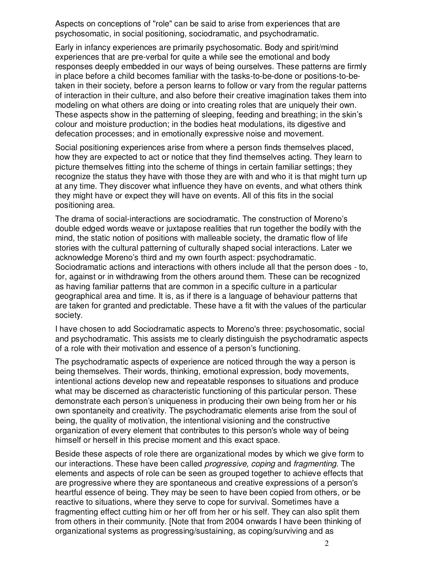Aspects on conceptions of "role" can be said to arise from experiences that are psychosomatic, in social positioning, sociodramatic, and psychodramatic.

Early in infancy experiences are primarily psychosomatic. Body and spirit/mind experiences that are pre-verbal for quite a while see the emotional and body responses deeply embedded in our ways of being ourselves. These patterns are firmly in place before a child becomes familiar with the tasks-to-be-done or positions-to-betaken in their society, before a person learns to follow or vary from the regular patterns of interaction in their culture, and also before their creative imagination takes them into modeling on what others are doing or into creating roles that are uniquely their own. These aspects show in the patterning of sleeping, feeding and breathing; in the skin's colour and moisture production; in the bodies heat modulations, its digestive and defecation processes; and in emotionally expressive noise and movement.

Social positioning experiences arise from where a person finds themselves placed, how they are expected to act or notice that they find themselves acting. They learn to picture themselves fitting into the scheme of things in certain familiar settings; they recognize the status they have with those they are with and who it is that might turn up at any time. They discover what influence they have on events, and what others think they might have or expect they will have on events. All of this fits in the social positioning area.

The drama of social-interactions are sociodramatic. The construction of Moreno's double edged words weave or juxtapose realities that run together the bodily with the mind, the static notion of positions with malleable society, the dramatic flow of life stories with the cultural patterning of culturally shaped social interactions. Later we acknowledge Moreno's third and my own fourth aspect: psychodramatic. Sociodramatic actions and interactions with others include all that the person does - to, for, against or in withdrawing from the others around them. These can be recognized as having familiar patterns that are common in a specific culture in a particular geographical area and time. It is, as if there is a language of behaviour patterns that are taken for granted and predictable. These have a fit with the values of the particular society.

I have chosen to add Sociodramatic aspects to Moreno's three: psychosomatic, social and psychodramatic. This assists me to clearly distinguish the psychodramatic aspects of a role with their motivation and essence of a person's functioning.

The psychodramatic aspects of experience are noticed through the way a person is being themselves. Their words, thinking, emotional expression, body movements, intentional actions develop new and repeatable responses to situations and produce what may be discerned as characteristic functioning of this particular person. These demonstrate each person's uniqueness in producing their own being from her or his own spontaneity and creativity. The psychodramatic elements arise from the soul of being, the quality of motivation, the intentional visioning and the constructive organization of every element that contributes to this person's whole way of being himself or herself in this precise moment and this exact space.

Beside these aspects of role there are organizational modes by which we give form to our interactions. These have been called *progressive, coping* and *fragmenting*. The elements and aspects of role can be seen as grouped together to achieve effects that are progressive where they are spontaneous and creative expressions of a person's heartful essence of being. They may be seen to have been copied from others, or be reactive to situations, where they serve to cope for survival. Sometimes have a fragmenting effect cutting him or her off from her or his self. They can also split them from others in their community. [Note that from 2004 onwards I have been thinking of organizational systems as progressing/sustaining, as coping/surviving and as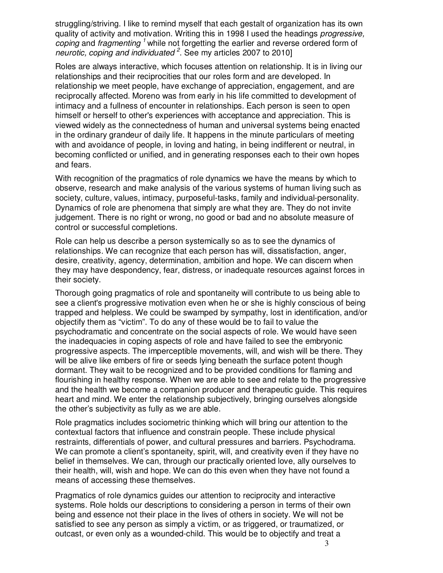struggling/striving. I like to remind myself that each gestalt of organization has its own quality of activity and motivation. Writing this in 1998 I used the headings *progressive*, coping and fragmenting<sup>1</sup> while not forgetting the earlier and reverse ordered form of neurotic, coping and individuated  $2$ . See my articles 2007 to 2010]

Roles are always interactive, which focuses attention on relationship. It is in living our relationships and their reciprocities that our roles form and are developed. In relationship we meet people, have exchange of appreciation, engagement, and are reciprocally affected. Moreno was from early in his life committed to development of intimacy and a fullness of encounter in relationships. Each person is seen to open himself or herself to other's experiences with acceptance and appreciation. This is viewed widely as the connectedness of human and universal systems being enacted in the ordinary grandeur of daily life. It happens in the minute particulars of meeting with and avoidance of people, in loving and hating, in being indifferent or neutral, in becoming conflicted or unified, and in generating responses each to their own hopes and fears.

With recognition of the pragmatics of role dynamics we have the means by which to observe, research and make analysis of the various systems of human living such as society, culture, values, intimacy, purposeful-tasks, family and individual-personality. Dynamics of role are phenomena that simply are what they are. They do not invite judgement. There is no right or wrong, no good or bad and no absolute measure of control or successful completions.

Role can help us describe a person systemically so as to see the dynamics of relationships. We can recognize that each person has will, dissatisfaction, anger, desire, creativity, agency, determination, ambition and hope. We can discern when they may have despondency, fear, distress, or inadequate resources against forces in their society.

Thorough going pragmatics of role and spontaneity will contribute to us being able to see a client's progressive motivation even when he or she is highly conscious of being trapped and helpless. We could be swamped by sympathy, lost in identification, and/or objectify them as "victim". To do any of these would be to fail to value the psychodramatic and concentrate on the social aspects of role. We would have seen the inadequacies in coping aspects of role and have failed to see the embryonic progressive aspects. The imperceptible movements, will, and wish will be there. They will be alive like embers of fire or seeds lying beneath the surface potent though dormant. They wait to be recognized and to be provided conditions for flaming and flourishing in healthy response. When we are able to see and relate to the progressive and the health we become a companion producer and therapeutic guide. This requires heart and mind. We enter the relationship subjectively, bringing ourselves alongside the other's subjectivity as fully as we are able.

Role pragmatics includes sociometric thinking which will bring our attention to the contextual factors that influence and constrain people. These include physical restraints, differentials of power, and cultural pressures and barriers. Psychodrama. We can promote a client's spontaneity, spirit, will, and creativity even if they have no belief in themselves. We can, through our practically oriented love, ally ourselves to their health, will, wish and hope. We can do this even when they have not found a means of accessing these themselves.

Pragmatics of role dynamics guides our attention to reciprocity and interactive systems. Role holds our descriptions to considering a person in terms of their own being and essence not their place in the lives of others in society. We will not be satisfied to see any person as simply a victim, or as triggered, or traumatized, or outcast, or even only as a wounded-child. This would be to objectify and treat a